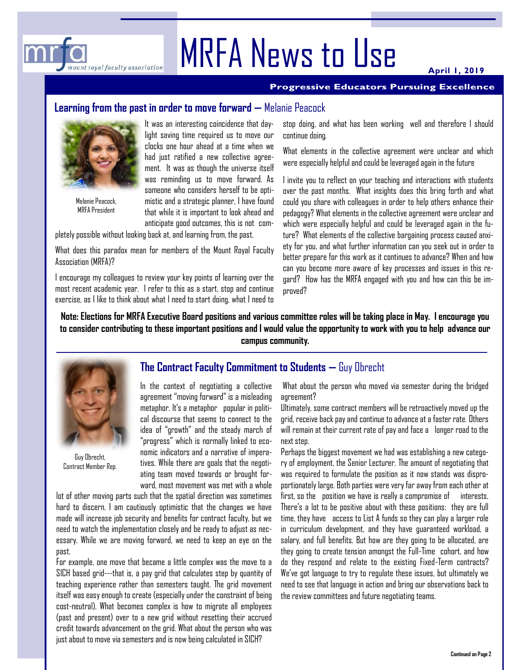

**April 1, 2019**

#### **Progressive Educators Pursuing Excellence**

## **Learning from the past in order to move forward —** Melanie Peacock



mount royal faculty association

 $\overline{m}$ 

Melanie Peacock, MRFA President

It was an interesting coincidence that daylight saving time required us to move our clocks one hour ahead at a time when we had just ratified a new collective agreement. It was as though the universe itself was reminding us to move forward. As someone who considers herself to be optimistic and a strategic planner, I have found that while it is important to look ahead and anticipate good outcomes, this is not com-

pletely possible without looking back at, and learning from, the past.

What does this paradox mean for members of the Mount Royal Faculty Association (MRFA)?

I encourage my colleagues to review your key points of learning over the most recent academic year. I refer to this as a start, stop and continue exercise, as I like to think about what I need to start doing, what I need to stop doing, and what has been working well and therefore I should continue doing.

What elements in the collective agreement were unclear and which were especially helpful and could be leveraged again in the future

I invite you to reflect on your teaching and interactions with students over the past months. What insights does this bring forth and what could you share with colleagues in order to help others enhance their pedagogy? What elements in the collective agreement were unclear and which were especially helpful and could be leveraged again in the future? What elements of the collective bargaining process caused anxiety for you, and what further information can you seek out in order to better prepare for this work as it continues to advance? When and how can you become more aware of key processes and issues in this regard? How has the MRFA engaged with you and how can this be improved?

**Note: Elections for MRFA Executive Board positions and various committee roles will be taking place in May. I encourage you to consider contributing to these important positions and I would value the opportunity to work with you to help advance our campus community.**



Guy Obrecht, Contract Member Rep.

## **The Contract Faculty Commitment to Students —** Guy Obrecht

In the context of negotiating a collective agreement "moving forward" is a misleading metaphor. It's a metaphor popular in political discourse that seems to connect to the idea of "growth" and the steady march of "progress" which is normally linked to economic indicators and a narrative of imperatives. While there are goals that the negotiating team moved towards or brought forward, most movement was met with a whole

lot of other moving parts such that the spatial direction was sometimes hard to discern. I am cautiously optimistic that the changes we have made will increase job security and benefits for contract faculty, but we need to watch the implementation closely and be ready to adjust as necessary. While we are moving forward, we need to keep an eye on the past.

For example, one move that became a little complex was the move to a SICH based grid---that is, a pay grid that calculates step by quantity of teaching experience rather than semesters taught. The grid movement itself was easy enough to create (especially under the constraint of being cost-neutral). What becomes complex is how to migrate all employees (past and present) over to a new grid without resetting their accrued credit towards advancement on the grid. What about the person who was just about to move via semesters and is now being calculated in SICH?

What about the person who moved via semester during the bridged agreement?

Ultimately, some contract members will be retroactively moved up the grid, receive back pay and continue to advance at a faster rate. Others will remain at their current rate of pay and face a longer road to the next step.

Perhaps the biggest movement we had was establishing a new category of employment, the Senior Lecturer. The amount of negotiating that was required to formulate the position as it now stands was disproportionately large. Both parties were very far away from each other at first, so the position we have is really a compromise of interests. There's a lot to be positive about with these positions: they are full time, they have access to List A funds so they can play a larger role in curriculum development, and they have guaranteed workload, a salary, and full benefits. But how are they going to be allocated, are they going to create tension amongst the Full-Time cohort, and how do they respond and relate to the existing Fixed-Term contracts? We've got language to try to regulate these issues, but ultimately we need to see that language in action and bring our observations back to the review committees and future negotiating teams.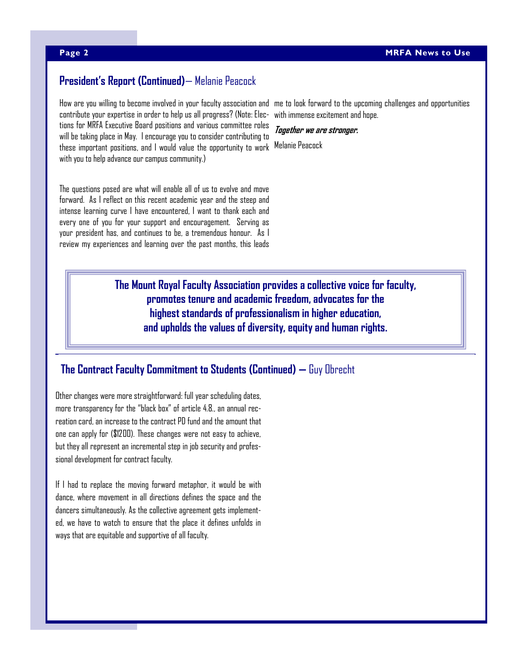# **President's Report (Continued)**— Melanie Peacock

How are you willing to become involved in your faculty association and me to look forward to the upcoming challenges and opportunities these important positions, and I would value the opportunity to work Melanie Peacock contribute your expertise in order to help us all progress? (Note: Elections for MRFA Executive Board positions and various committee roles will be taking place in May. I encourage you to consider contributing to with you to help advance our campus community.)

The questions posed are what will enable all of us to evolve and move forward. As I reflect on this recent academic year and the steep and intense learning curve I have encountered, I want to thank each and every one of you for your support and encouragement. Serving as your president has, and continues to be, a tremendous honour. As I review my experiences and learning over the past months, this leads

with immense excitement and hope.

**Together we are stronger.**

**The Mount Royal Faculty Association provides a collective voice for faculty, promotes tenure and academic freedom, advocates for the highest standards of professionalism in higher education, and upholds the values of diversity, equity and human rights.** 

# **The Contract Faculty Commitment to Students (Continued) —** Guy Obrecht

Other changes were more straightforward: full year scheduling dates, more transparency for the "black box" of article 4.8., an annual recreation card, an increase to the contract PD fund and the amount that one can apply for (\$1200). These changes were not easy to achieve, but they all represent an incremental step in job security and professional development for contract faculty.

If I had to replace the moving forward metaphor, it would be with dance, where movement in all directions defines the space and the dancers simultaneously. As the collective agreement gets implemented, we have to watch to ensure that the place it defines unfolds in ways that are equitable and supportive of all faculty.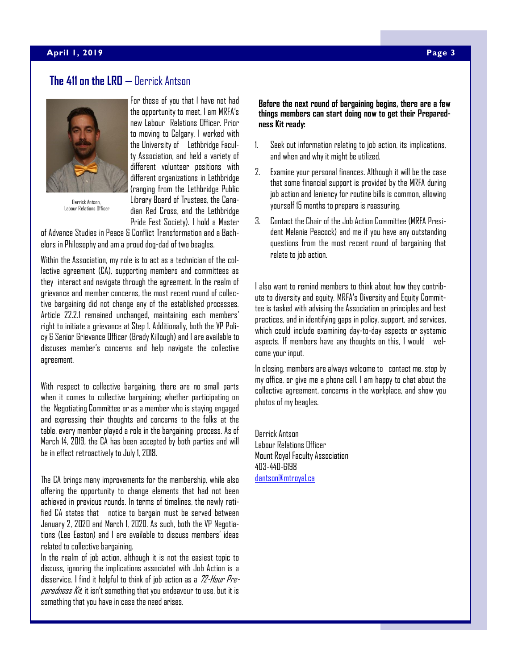#### **April 23, 2015 April 1, 2019 Page 3**

# **The 411 on the LRO** — Derrick Antson



Derrick Antson, Labour Relations Officer

For those of you that I have not had the opportunity to meet, I am MRFA's new Labour Relations Officer. Prior to moving to Calgary, I worked with the University of Lethbridge Faculty Association, and held a variety of different volunteer positions with different organizations in Lethbridge (ranging from the Lethbridge Public Library Board of Trustees, the Canadian Red Cross, and the Lethbridge Pride Fest Society). I hold a Master

of Advance Studies in Peace & Conflict Transformation and a Bachelors in Philosophy and am a proud dog-dad of two beagles.

Within the Association, my role is to act as a technician of the collective agreement (CA), supporting members and committees as they interact and navigate through the agreement. In the realm of grievance and member concerns, the most recent round of collective bargaining did not change any of the established processes. Article 22.2.1 remained unchanged, maintaining each members' right to initiate a grievance at Step 1. Additionally, both the VP Policy & Senior Grievance Officer (Brady Killough) and I are available to discuses member's concerns and help navigate the collective agreement.

With respect to collective bargaining, there are no small parts when it comes to collective bargaining; whether participating on the Negotiating Committee or as a member who is staying engaged and expressing their thoughts and concerns to the folks at the table, every member played a role in the bargaining process. As of March 14, 2019, the CA has been accepted by both parties and will be in effect retroactively to July 1, 2018.

The CA brings many improvements for the membership, while also offering the opportunity to change elements that had not been achieved in previous rounds. In terms of timelines, the newly ratified CA states that notice to bargain must be served between January 2, 2020 and March 1, 2020. As such, both the VP Negotiations ([Lee Easton](mailto:leaston@mtroyal.ca)) and I are available to discuss members' ideas related to collective bargaining.

In the realm of job action, although it is not the easiest topic to discuss, ignoring the implications associated with Job Action is a disservice. I find it helpful to think of job action as a [72-Hour Pre](http://www.calgary.ca/CSPS/cema/Pages/Prepare-for-an-emergency/Build-your-72-hour-emergency-preparedness-kit.aspx)[paredness Kit](http://www.calgary.ca/CSPS/cema/Pages/Prepare-for-an-emergency/Build-your-72-hour-emergency-preparedness-kit.aspx); it isn't something that you endeavour to use, but it is something that you have in case the need arises.

#### **Before the next round of bargaining begins, there are a few things members can start doing now to get their Preparedness Kit ready:**

- 1. Seek out information relating to job action, its implications, and when and why it might be utilized.
- 2. Examine your personal finances. Although it will be the case that some financial support is provided by the MRFA during job action and leniency for routine bills is common, allowing yourself 15 months to prepare is reassuring.
- 3. Contact the Chair of the Job Action Committee (MRFA President [Melanie Peacock\)](mailto:mpeacock@mtroyal.ca) and me if you have any outstanding questions from the most recent round of bargaining that relate to job action.

I also want to remind members to think about how they contribute to diversity and equity. MRFA's Diversity and Equity Committee is tasked with advising the Association on principles and best practices, and in identifying gaps in policy, support, and services, which could include examining day-to-day aspects or systemic aspects. If members have any thoughts on this, I would welcome your input.

In closing, members are always welcome to contact me, stop by my office, or give me a phone call. I am happy to chat about the collective agreement, concerns in the workplace, and show you photos of my beagles.

Derrick Antson Labour Relations Officer Mount Royal Faculty Association 403-440-6198 [dantson@mtroyal.ca](mailto:dantson@mtroyal.ca)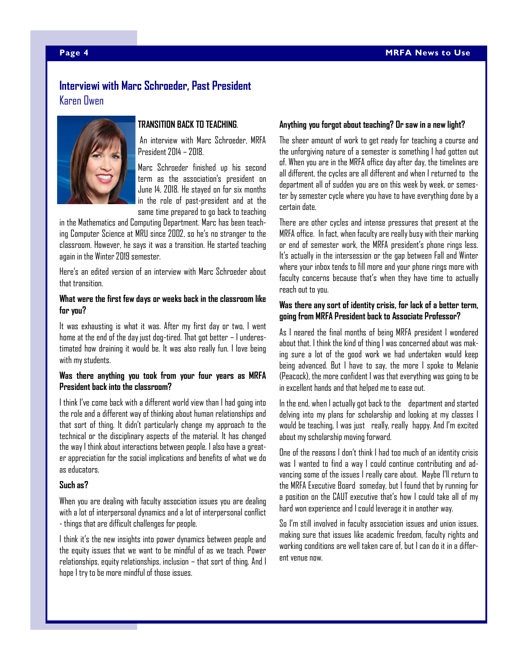## **Interviewi with Marc Schroeder, Past President** Karen Owen



### **TRANSITION BACK TO TEACHING**.

An interview with Marc Schroeder, MRFA President 2014 – 2018.

Marc Schroeder finished up his second term as the association's president on June 14, 2018. He stayed on for six months in the role of past-president and at the same time prepared to go back to teaching

in the Mathematics and Computing Department. Marc has been teaching Computer Science at MRU since 2002, so he's no stranger to the classroom. However, he says it was a transition. He started teaching again in the Winter 2019 semester.

Here's an edited version of an interview with Marc Schroeder about that transition.

#### **What were the first few days or weeks back in the classroom like for you?**

It was exhausting is what it was. After my first day or two, I went home at the end of the day just dog-tired. That got better – I underestimated how draining it would be. It was also really fun. I love being with my students.

#### **Was there anything you took from your four years as MRFA President back into the classroom?**

I think I've come back with a different world view than I had going into the role and a different way of thinking about human relationships and that sort of thing. It didn't particularly change my approach to the technical or the disciplinary aspects of the material. It has changed the way I think about interactions between people. I also have a greater appreciation for the social implications and benefits of what we do as educators.

#### **Such as?**

When you are dealing with faculty association issues you are dealing with a lot of interpersonal dynamics and a lot of interpersonal conflict - things that are difficult challenges for people.

I think it's the new insights into power dynamics between people and the equity issues that we want to be mindful of as we teach. Power relationships, equity relationships, inclusion – that sort of thing. And I hope I try to be more mindful of those issues.

#### **Anything you forgot about teaching? Or saw in a new light?**

The sheer amount of work to get ready for teaching a course and the unforgiving nature of a semester is something I had gotten out of. When you are in the MRFA office day after day, the timelines are all different, the cycles are all different and when I returned to the department all of sudden you are on this week by week, or semester by semester cycle where you have to have everything done by a certain date.

There are other cycles and intense pressures that present at the MRFA office. In fact, when faculty are really busy with their marking or end of semester work, the MRFA president's phone rings less. It's actually in the intersession or the gap between Fall and Winter where your inbox tends to fill more and your phone rings more with faculty concerns because that's when they have time to actually reach out to you.

#### **Was there any sort of identity crisis, for lack of a better term, going from MRFA President back to Associate Professor?**

As I neared the final months of being MRFA president I wondered about that. I think the kind of thing I was concerned about was making sure a lot of the good work we had undertaken would keep being advanced. But I have to say, the more I spoke to Melanie (Peacock), the more confident I was that everything was going to be in excellent hands and that helped me to ease out.

In the end, when I actually got back to the department and started delving into my plans for scholarship and looking at my classes I would be teaching, I was just really, really happy. And I'm excited about my scholarship moving forward.

One of the reasons I don't think I had too much of an identity crisis was I wanted to find a way I could continue contributing and advancing some of the issues I really care about. Maybe I'll return to the MRFA Executive Board someday, but I found that by running for a position on the CAUT executive that's how I could take all of my hard won experience and I could leverage it in another way.

So I'm still involved in faculty association issues and union issues, making sure that issues like academic freedom, faculty rights and working conditions are well taken care of, but I can do it in a different venue now.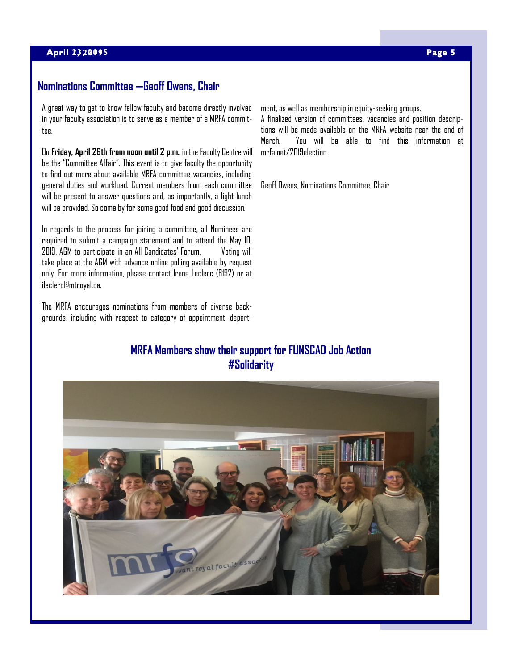### **April 23, 2015 April 1, 2019 Page 5**

## **Nominations Committee —Geoff Owens, Chair**

A great way to get to know fellow faculty and become directly involved in your faculty association is to serve as a member of a MRFA committee.

On **Friday, April 26th from noon until 2 p.m.** in the Faculty Centre will be the "Committee Affair". This event is to give faculty the opportunity to find out more about available MRFA committee vacancies, including general duties and workload. Current members from each committee will be present to answer questions and, as importantly, a light lunch will be provided. So come by for some good food and good discussion.

In regards to the process for joining a committee, all Nominees are required to submit a campaign statement and to attend the May 10, 2019, AGM to participate in an All Candidates' Forum. Voting will take place at the AGM with advance online polling available by request only. For more information, please contact Irene Leclerc (6192) or at ileclerc@mtroyal.ca.

The MRFA encourages nominations from members of diverse backgrounds, including with respect to category of appointment, department, as well as membership in equity-seeking groups.

A finalized version of committees, vacancies and position descriptions will be made available on the MRFA website near the end of March. You will be able to find this information at mrfa.net/2019election.

Geoff Owens, Nominations Committee, Chair

# **MRFA Members show their support for FUNSCAD Job Action #Solidarity**